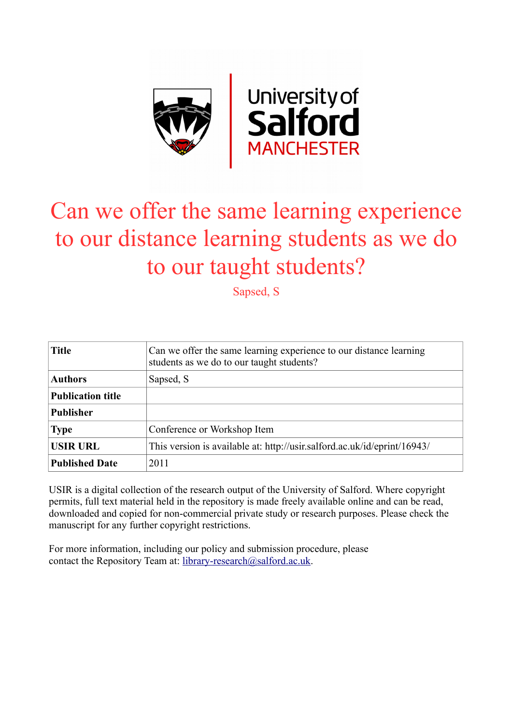

## Can we offer the same learning experience to our distance learning students as we do to our taught students?

Sapsed, S

| <b>Title</b>             | Can we offer the same learning experience to our distance learning<br>students as we do to our taught students? |
|--------------------------|-----------------------------------------------------------------------------------------------------------------|
| <b>Authors</b>           | Sapsed, S                                                                                                       |
| <b>Publication title</b> |                                                                                                                 |
| <b>Publisher</b>         |                                                                                                                 |
| <b>Type</b>              | Conference or Workshop Item                                                                                     |
| <b>USIR URL</b>          | This version is available at: http://usir.salford.ac.uk/id/eprint/16943/                                        |
| <b>Published Date</b>    | 2011                                                                                                            |

USIR is a digital collection of the research output of the University of Salford. Where copyright permits, full text material held in the repository is made freely available online and can be read, downloaded and copied for non-commercial private study or research purposes. Please check the manuscript for any further copyright restrictions.

For more information, including our policy and submission procedure, please contact the Repository Team at: [library-research@salford.ac.uk.](mailto:library-research@salford.ac.uk)